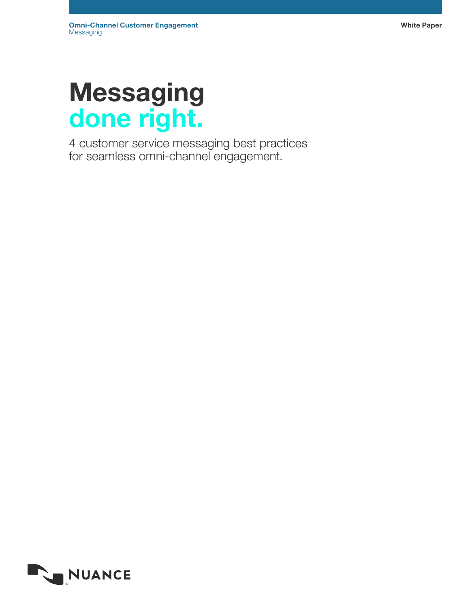# Messaging done right.

4 customer service messaging best practices for seamless omni-channel engagement.

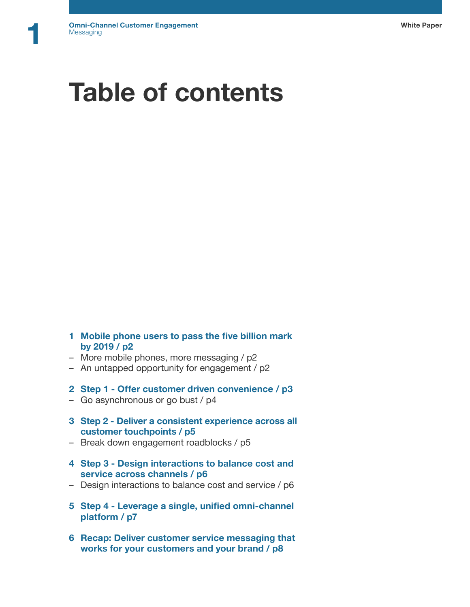# Table of contents

- 1 Mobile phone users to pass the five billion mark by 2019 / p2
- More mobile phones, more messaging / p2
- An untapped opportunity for engagement / p2
- 2 Step 1 Offer customer driven convenience / p3
- Go asynchronous or go bust / p4
- 3 Step 2 Deliver a consistent experience across all customer touchpoints / p5
- Break down engagement roadblocks / p5
- 4 Step 3 Design interactions to balance cost and service across channels / p6
- Design interactions to balance cost and service / p6
- 5 Step 4 Leverage a single, unified omni-channel platform / p7
- 6 Recap: Deliver customer service messaging that works for your customers and your brand / p8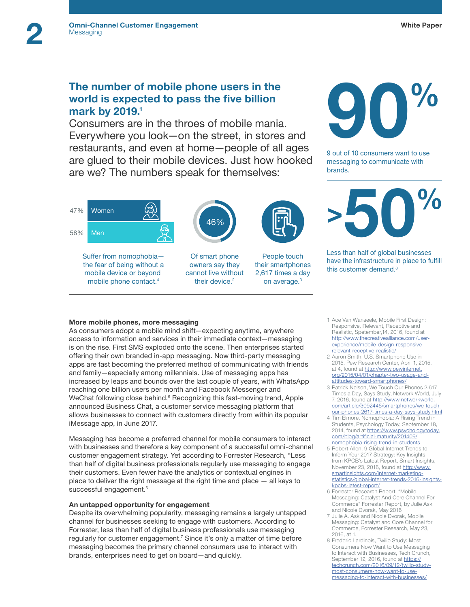# The number of mobile phone users in the world is expected to pass the five billion mark by 2019.<sup>1</sup>

Consumers are in the throes of mobile mania. Everywhere you look—on the street, in stores and restaurants, and even at home—people of all ages are glued to their mobile devices. Just how hooked are we? The numbers speak for themselves:

46%

Of smart phone owners say they cannot live without their device.<sup>2</sup>

People touch their smartphones 2,617 times a day on average.3



9 out of 10 consumers want to use messaging to communicate with brands.



Less than half of global businesses have the infrastructure in place to fulfill this customer demand.<sup>8</sup>

### More mobile phones, more messaging

Suffer from nomophobia the fear of being without a mobile device or beyond mobile phone contact.4

As consumers adopt a mobile mind shift—expecting anytime, anywhere access to information and services in their immediate context—messaging is on the rise. First SMS exploded onto the scene. Then enterprises started offering their own branded in-app messaging. Now third-party messaging apps are fast becoming the preferred method of communicating with friends and family—especially among millennials. Use of messaging apps has increased by leaps and bounds over the last couple of years, with WhatsApp reaching one billion users per month and Facebook Messenger and WeChat following close behind.<sup>5</sup> Recognizing this fast-moving trend, Apple announced Business Chat, a customer service messaging platform that allows businesses to connect with customers directly from within its popular iMessage app, in June 2017.

Messaging has become a preferred channel for mobile consumers to interact with businesses and therefore a key component of a successful omni-channel customer engagement strategy. Yet according to Forrester Research, "Less than half of digital business professionals regularly use messaging to engage their customers. Even fewer have the analytics or contextual engines in place to deliver the right message at the right time and place — all keys to successful engagement.<sup>6</sup>

### An untapped opportunity for engagement

Despite its overwhelming popularity, messaging remains a largely untapped channel for businesses seeking to engage with customers. According to Forrester, less than half of digital business professionals use messaging regularly for customer engagement.<sup>7</sup> Since it's only a matter of time before messaging becomes the primary channel consumers use to interact with brands, enterprises need to get on board—and quickly.

- 1 Ace Van Wanseele, Mobile First Design: Responsive, Relevant, Receptive and Realistic, Spetember,14, 2016, found at [http://www.thecreativealliance.com/user](http://www.thecreativealliance.com/user-experience/mobile-design-responsive-relevant-receptive-reali)[experience/mobile-design-responsive](http://www.thecreativealliance.com/user-experience/mobile-design-responsive-relevant-receptive-reali)[relevant-receptive-realistic/](http://www.thecreativealliance.com/user-experience/mobile-design-responsive-relevant-receptive-reali)
- 2 Aaron Smith, U.S. Smartphone Use in 2015, Pew Research Center, April 1, 2015, at 4, found at [http://www.pewinternet.](http://www.pewinternet.org/2015/04/01/chapter-two-usage-and-attitudes-toward-smartphones/) [org/2015/04/01/chapter-two-usage-and](http://www.pewinternet.org/2015/04/01/chapter-two-usage-and-attitudes-toward-smartphones/)[attitudes-toward-smartphones/](http://www.pewinternet.org/2015/04/01/chapter-two-usage-and-attitudes-toward-smartphones/)
- 3 Patrick Nelson, We Touch Our Phones 2,617 Times a Day, Says Study, Network World, July 7, 2016, found at [http://www.networkworld.](http://www.networkworld.com/article/3092446/smartphones/we-touch-our-phones-2617-times-a-day-says-st) [com/article/3092446/smartphones/we-touch](http://www.networkworld.com/article/3092446/smartphones/we-touch-our-phones-2617-times-a-day-says-st)[our-phones-2617-times-a-day-says-study.html](http://www.networkworld.com/article/3092446/smartphones/we-touch-our-phones-2617-times-a-day-says-st)
- 4 Tim Elmore, Nomophobia: A Rising Trend in Students, Psychology Today, September 18, 2014, found at [https://www.psychologytoday.](https://www.psychologytoday.com/blog/artificial-maturity/201409/nomophobia-rising-trend-in-students) [com/blog/artificial-maturity/201409/](https://www.psychologytoday.com/blog/artificial-maturity/201409/nomophobia-rising-trend-in-students) [nomophobia-rising-trend-in-students](https://www.psychologytoday.com/blog/artificial-maturity/201409/nomophobia-rising-trend-in-students)
- 5 Robert Allen, 9 Global Internet Trends to Inform Your 2017 Strategy: Key Insights from KPCB's Latest Report, Smart Insights, November 23, 2016, found at [http://www.](http://www.smartinsights.com/internet-marketing-statistics/global-internet-trends-2016-insights-kpcb) [smartinsights.com/internet-marketing-](http://www.smartinsights.com/internet-marketing-statistics/global-internet-trends-2016-insights-kpcb)
- [statistics/global-internet-trends-2016-insights](http://www.smartinsights.com/internet-marketing-statistics/global-internet-trends-2016-insights-kpcb)[kpcbs-latest-report/](http://www.smartinsights.com/internet-marketing-statistics/global-internet-trends-2016-insights-kpcb) 6 Forrester Research Report, "Mobile
- Messaging: Catalyst And Core Channel For Commerce" Forrester Report, by Julie Ask and Nicole Dvorak, May 2016
- 7 Julie A. Ask and Nicole Dvorak, Mobile Messaging: Catalyst and Core Channel for Commerce, Forrester Research, May 23, 2016, at 1.
- 8 Frederic Lardinois, Twilio Study: Most Consumers Now Want to Use Messaging to Interact with Businesses, Tech Crunch, September 12, 2016, found at [https://](https://techcrunch.com/2016/09/12/twilio-study-most-consumers-now-want-to-use-messaging-to-interact-) [techcrunch.com/2016/09/12/twilio-study](https://techcrunch.com/2016/09/12/twilio-study-most-consumers-now-want-to-use-messaging-to-interact-)[most-consumers-now-want-to-use](https://techcrunch.com/2016/09/12/twilio-study-most-consumers-now-want-to-use-messaging-to-interact-)[messaging-to-interact-with-businesses/](https://techcrunch.com/2016/09/12/twilio-study-most-consumers-now-want-to-use-messaging-to-interact-)

47%

Women

Men

58%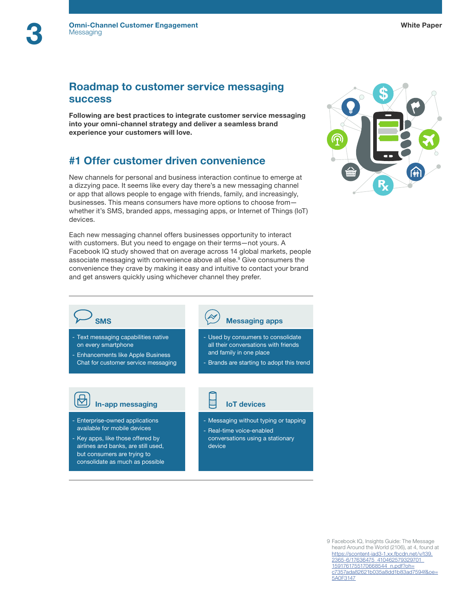# Roadmap to customer service messaging success

Following are best practices to integrate customer service messaging into your omni-channel strategy and deliver a seamless brand experience your customers will love.

# #1 Offer customer driven convenience

New channels for personal and business interaction continue to emerge at a dizzying pace. It seems like every day there's a new messaging channel or app that allows people to engage with friends, family, and increasingly, businesses. This means consumers have more options to choose from whether it's SMS, branded apps, messaging apps, or Internet of Things (IoT) devices.

Each new messaging channel offers businesses opportunity to interact with customers. But you need to engage on their terms—not yours. A Facebook IQ study showed that on average across 14 global markets, people associate messaging with convenience above all else.<sup>9</sup> Give consumers the convenience they crave by making it easy and intuitive to contact your brand and get answers quickly using whichever channel they prefer.



- Text messaging capabilities native on every smartphone

- Enhancements like Apple Business Chat for customer service messaging



- Enterprise-owned applications available for mobile devices
- Key apps, like those offered by airlines and banks, are still used, but consumers are trying to consolidate as much as possible

# SMS Messaging apps

- Used by consumers to consolidate all their conversations with friends and family in one place
- Brands are starting to adopt this trend

- Messaging without typing or tapping
- Real-time voice-enabled conversations using a stationary device

#### 9 Facebook IQ, Insights Guide: The Message heard Around the World (2106), at 4, found at [https://scontent-iad3-1.xx.fbcdn.net/v/t39.](https://scontent-iad3-1.xx.fbcdn.net/v/t39.2365-6/17636475_410462579329701_1591761755170668544_n.pdf?oh=c7357ada82621b035a8dd1b83ad7594f&oe=5A0F3147) [2365-6/17636475\\_410462579329701\\_](https://scontent-iad3-1.xx.fbcdn.net/v/t39.2365-6/17636475_410462579329701_1591761755170668544_n.pdf?oh=c7357ada82621b035a8dd1b83ad7594f&oe=5A0F3147) [1591761755170668544\\_n.pdf?oh=](https://scontent-iad3-1.xx.fbcdn.net/v/t39.2365-6/17636475_410462579329701_1591761755170668544_n.pdf?oh=c7357ada82621b035a8dd1b83ad7594f&oe=5A0F3147)

[c7357ada82621b035a8dd1b83ad7594f&oe=](https://scontent-iad3-1.xx.fbcdn.net/v/t39.2365-6/17636475_410462579329701_1591761755170668544_n.pdf?oh=c7357ada82621b035a8dd1b83ad7594f&oe=5A0F3147)

[5A0F3147](https://scontent-iad3-1.xx.fbcdn.net/v/t39.2365-6/17636475_410462579329701_1591761755170668544_n.pdf?oh=c7357ada82621b035a8dd1b83ad7594f&oe=5A0F3147)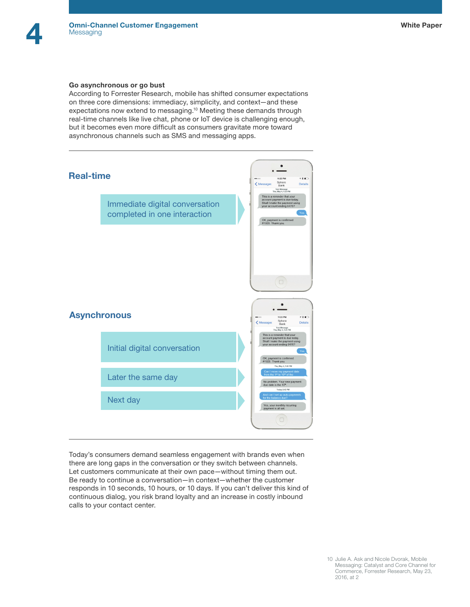#### Go asynchronous or go bust

According to Forrester Research, mobile has shifted consumer expectations on three core dimensions: immediacy, simplicity, and context—and these expectations now extend to messaging.<sup>10</sup> Meeting these demands through real-time channels like live chat, phone or IoT device is challenging enough, but it becomes even more difficult as consumers gravitate more toward asynchronous channels such as SMS and messaging apps.



Today's consumers demand seamless engagement with brands even when there are long gaps in the conversation or they switch between channels. Let customers communicate at their own pace—without timing them out. Be ready to continue a conversation—in context—whether the customer responds in 10 seconds, 10 hours, or 10 days. If you can't deliver this kind of continuous dialog, you risk brand loyalty and an increase in costly inbound calls to your contact center.

10 Julie A. Ask and Nicole Dvorak, Mobile Messaging: Catalyst and Core Channel for Commerce, Forrester Research, May 23, 2016, at 2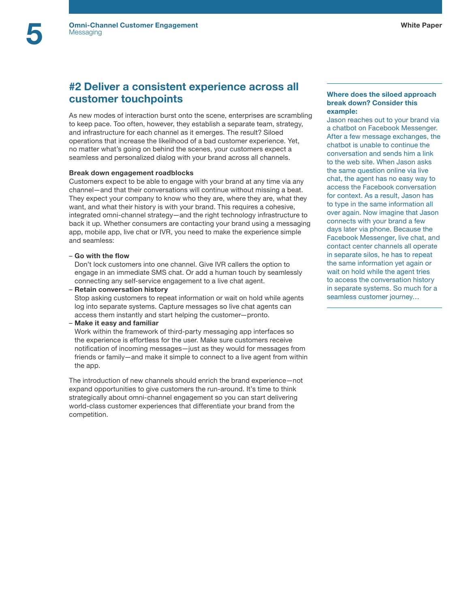# #2 Deliver a consistent experience across all customer touchpoints

As new modes of interaction burst onto the scene, enterprises are scrambling to keep pace. Too often, however, they establish a separate team, strategy, and infrastructure for each channel as it emerges. The result? Siloed operations that increase the likelihood of a bad customer experience. Yet, no matter what's going on behind the scenes, your customers expect a seamless and personalized dialog with your brand across all channels.

# Break down engagement roadblocks

Customers expect to be able to engage with your brand at any time via any channel—and that their conversations will continue without missing a beat. They expect your company to know who they are, where they are, what they want, and what their history is with your brand. This requires a cohesive, integrated omni-channel strategy—and the right technology infrastructure to back it up. Whether consumers are contacting your brand using a messaging app, mobile app, live chat or IVR, you need to make the experience simple and seamless:

# – Go with the flow

Don't lock customers into one channel. Give IVR callers the option to engage in an immediate SMS chat. Or add a human touch by seamlessly connecting any self-service engagement to a live chat agent.

– Retain conversation history

Stop asking customers to repeat information or wait on hold while agents log into separate systems. Capture messages so live chat agents can access them instantly and start helping the customer—pronto.

– Make it easy and familiar

Work within the framework of third-party messaging app interfaces so the experience is effortless for the user. Make sure customers receive notification of incoming messages—just as they would for messages from friends or family—and make it simple to connect to a live agent from within the app.

The introduction of new channels should enrich the brand experience—not expand opportunities to give customers the run-around. It's time to think strategically about omni-channel engagement so you can start delivering world-class customer experiences that differentiate your brand from the competition.

### Where does the siloed approach break down? Consider this example:

Jason reaches out to your brand via a chatbot on Facebook Messenger. After a few message exchanges, the chatbot is unable to continue the conversation and sends him a link to the web site. When Jason asks the same question online via live chat, the agent has no easy way to access the Facebook conversation for context. As a result, Jason has to type in the same information all over again. Now imagine that Jason connects with your brand a few days later via phone. Because the Facebook Messenger, live chat, and contact center channels all operate in separate silos, he has to repeat the same information yet again or wait on hold while the agent tries to access the conversation history in separate systems. So much for a seamless customer journey…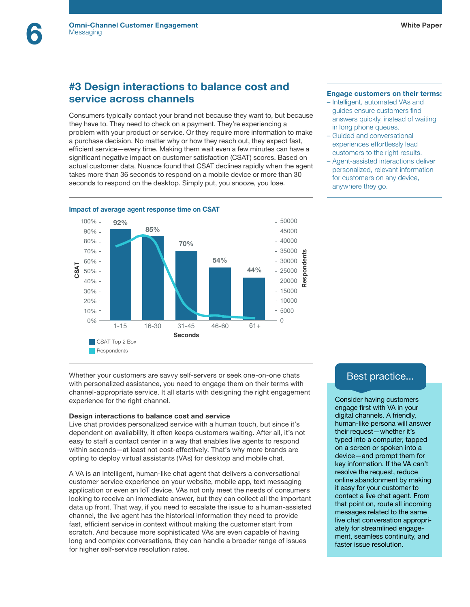# #3 Design interactions to balance cost and service across channels

Consumers typically contact your brand not because they want to, but because they have to. They need to check on a payment. They're experiencing a problem with your product or service. Or they require more information to make a purchase decision. No matter why or how they reach out, they expect fast, efficient service—every time. Making them wait even a few minutes can have a significant negative impact on customer satisfaction (CSAT) scores. Based on actual customer data, Nuance found that CSAT declines rapidly when the agent takes more than 36 seconds to respond on a mobile device or more than 30 seconds to respond on the desktop. Simply put, you snooze, you lose.



#### Engage customers on their terms:

- Intelligent, automated VAs and guides ensure customers find answers quickly, instead of waiting in long phone queues.
- Guided and conversational experiences effortlessly lead customers to the right results.
- Agent-assisted interactions deliver personalized, relevant information for customers on any device, anywhere they go.

Whether your customers are savvy self-servers or seek one-on-one chats with personalized assistance, you need to engage them on their terms with channel-appropriate service. It all starts with designing the right engagement experience for the right channel.

#### Design interactions to balance cost and service

Live chat provides personalized service with a human touch, but since it's dependent on availability, it often keeps customers waiting. After all, it's not easy to staff a contact center in a way that enables live agents to respond within seconds—at least not cost-effectively. That's why more brands are opting to deploy virtual assistants (VAs) for desktop and mobile chat.

A VA is an intelligent, human-like chat agent that delivers a conversational customer service experience on your website, mobile app, text messaging application or even an IoT device. VAs not only meet the needs of consumers looking to receive an immediate answer, but they can collect all the important data up front. That way, if you need to escalate the issue to a human-assisted channel, the live agent has the historical information they need to provide fast, efficient service in context without making the customer start from scratch. And because more sophisticated VAs are even capable of having long and complex conversations, they can handle a broader range of issues for higher self-service resolution rates.

# Best practice...

Consider having customers engage first with VA in your digital channels. A friendly, human-like persona will answer their request—whether it's typed into a computer, tapped on a screen or spoken into a device—and prompt them for key information. If the VA can't resolve the request, reduce online abandonment by making it easy for your customer to contact a live chat agent. From that point on, route all incoming messages related to the same live chat conversation appropriately for streamlined engagement, seamless continuity, and faster issue resolution.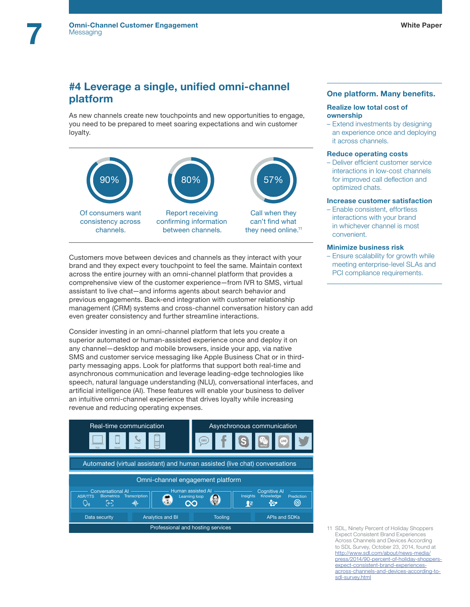# #4 Leverage a single, unified omni-channel platform

As new channels create new touchpoints and new opportunities to engage, you need to be prepared to meet soaring expectations and win customer loyalty.



Customers move between devices and channels as they interact with your brand and they expect every touchpoint to feel the same. Maintain context across the entire journey with an omni-channel platform that provides a comprehensive view of the customer experience—from IVR to SMS, virtual assistant to live chat—and informs agents about search behavior and previous engagements. Back-end integration with customer relationship management (CRM) systems and cross-channel conversation history can add even greater consistency and further streamline interactions.

Consider investing in an omni-channel platform that lets you create a superior automated or human-assisted experience once and deploy it on any channel—desktop and mobile browsers, inside your app, via native SMS and customer service messaging like Apple Business Chat or in thirdparty messaging apps. Look for platforms that support both real-time and asynchronous communication and leverage leading-edge technologies like speech, natural language understanding (NLU), conversational interfaces, and artificial intelligence (AI). These features will enable your business to deliver an intuitive omni-channel experience that drives loyalty while increasing revenue and reducing operating expenses.



## One platform. Many benefits.

#### Realize low total cost of ownership

– Extend investments by designing an experience once and deploying it across channels.

#### Reduce operating costs

– Deliver efficient customer service interactions in low-cost channels for improved call deflection and optimized chats.

## Increase customer satisfaction

– Enable consistent, effortless interactions with your brand in whichever channel is most convenient.

#### Minimize business risk

– Ensure scalability for growth while meeting enterprise-level SLAs and PCI compliance requirements.

11 SDL, Ninety Percent of Holiday Shoppers Expect Consistent Brand Experiences Across Channels and Devices According to SDL Survey, October 23, 2014, found at [http://www.sdl.com/about/news-media/](http://www.sdl.com/about/news-media/press/2014/90-percent-of-holiday-shoppers-expect-consistent-bran) [press/2014/90-percent-of-holiday-shoppers](http://www.sdl.com/about/news-media/press/2014/90-percent-of-holiday-shoppers-expect-consistent-bran)[expect-consistent-brand-experiences](http://www.sdl.com/about/news-media/press/2014/90-percent-of-holiday-shoppers-expect-consistent-bran)[across-channels-and-devices-according-to](http://www.sdl.com/about/news-media/press/2014/90-percent-of-holiday-shoppers-expect-consistent-bran)[sdl-survey.html](http://www.sdl.com/about/news-media/press/2014/90-percent-of-holiday-shoppers-expect-consistent-bran)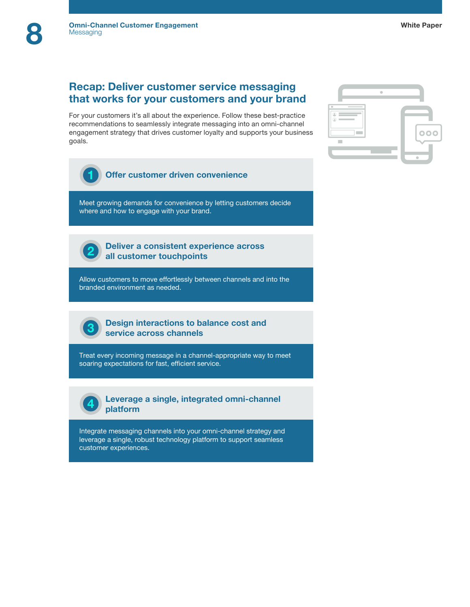# Recap: Deliver customer service messaging that works for your customers and your brand

For your customers it's all about the experience. Follow these best-practice recommendations to seamlessly integrate messaging into an omni-channel engagement strategy that drives customer loyalty and supports your business goals.



Offer customer driven convenience 1

Meet growing demands for convenience by letting customers decide where and how to engage with your brand.



Deliver a consistent experience across all customer touchpoints

Allow customers to move effortlessly between channels and into the branded environment as needed.

3

Design interactions to balance cost and service across channels

Treat every incoming message in a channel-appropriate way to meet soaring expectations for fast, efficient service.



Leverage a single, integrated omni-channel platform

Integrate messaging channels into your omni-channel strategy and leverage a single, robust technology platform to support seamless customer experiences.